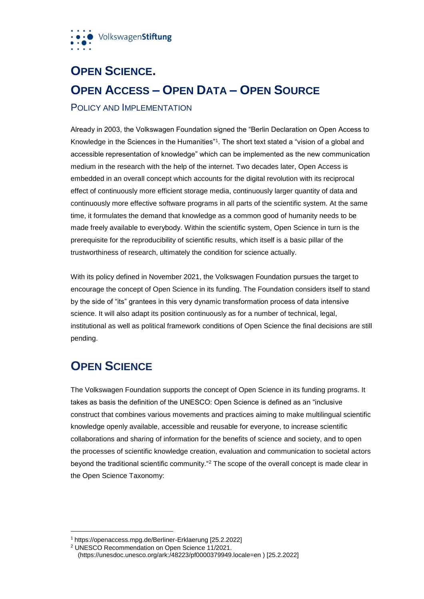

# **OPEN SCIENCE. OPEN ACCESS – OPEN DATA – OPEN SOURCE** POLICY AND IMPLEMENTATION

Already in 2003, the Volkswagen Foundation signed the "Berlin Declaration on Open Access to Knowledge in the Sciences in the Humanities"<sup>1</sup> . The short text stated a "vision of a global and accessible representation of knowledge" which can be implemented as the new communication medium in the research with the help of the internet. Two decades later, Open Access is embedded in an overall concept which accounts for the digital revolution with its reciprocal effect of continuously more efficient storage media, continuously larger quantity of data and continuously more effective software programs in all parts of the scientific system. At the same time, it formulates the demand that knowledge as a common good of humanity needs to be made freely available to everybody. Within the scientific system, Open Science in turn is the prerequisite for the reproducibility of scientific results, which itself is a basic pillar of the trustworthiness of research, ultimately the condition for science actually.

With its policy defined in November 2021, the Volkswagen Foundation pursues the target to encourage the concept of Open Science in its funding. The Foundation considers itself to stand by the side of "its" grantees in this very dynamic transformation process of data intensive science. It will also adapt its position continuously as for a number of technical, legal, institutional as well as political framework conditions of Open Science the final decisions are still pending.

### **OPEN SCIENCE**

 $\overline{a}$ 

The Volkswagen Foundation supports the concept of Open Science in its funding programs. It takes as basis the definition of the UNESCO: Open Science is defined as an "inclusive construct that combines various movements and practices aiming to make multilingual scientific knowledge openly available, accessible and reusable for everyone, to increase scientific collaborations and sharing of information for the benefits of science and society, and to open the processes of scientific knowledge creation, evaluation and communication to societal actors beyond the traditional scientific community."<sup>2</sup> The scope of the overall concept is made clear in the Open Science Taxonomy:

<sup>1</sup> https://openaccess.mpg.de/Berliner-Erklaerung [25.2.2022]

<sup>2</sup> UNESCO Recommendation on Open Science 11/2021.

 <sup>(</sup>https://unesdoc.unesco.org/ark:/48223/pf0000379949.locale=en ) [25.2.2022]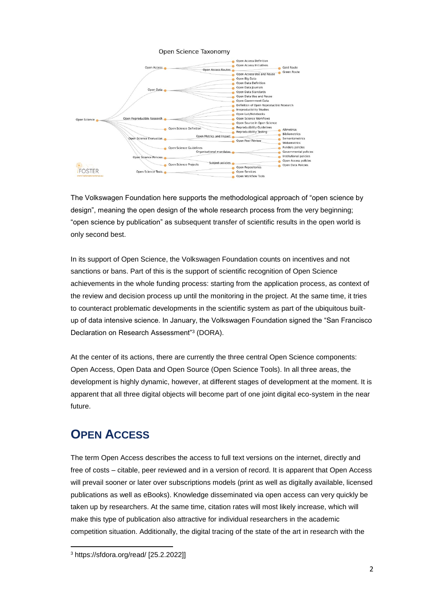

The Volkswagen Foundation here supports the methodological approach of "open science by design", meaning the open design of the whole research process from the very beginning; "open science by publication" as subsequent transfer of scientific results in the open world is only second best.

In its support of Open Science, the Volkswagen Foundation counts on incentives and not sanctions or bans. Part of this is the support of scientific recognition of Open Science achievements in the whole funding process: starting from the application process, as context of the review and decision process up until the monitoring in the project. At the same time, it tries to counteract problematic developments in the scientific system as part of the ubiquitous builtup of data intensive science. In January, the Volkswagen Foundation signed the "San Francisco Declaration on Research Assessment"<sup>3</sup> (DORA).

At the center of its actions, there are currently the three central Open Science components: Open Access, Open Data and Open Source (Open Science Tools). In all three areas, the development is highly dynamic, however, at different stages of development at the moment. It is apparent that all three digital objects will become part of one joint digital eco-system in the near future.

## **OPEN ACCESS**

The term Open Access describes the access to full text versions on the internet, directly and free of costs – citable, peer reviewed and in a version of record. It is apparent that Open Access will prevail sooner or later over subscriptions models (print as well as digitally available, licensed publications as well as eBooks). Knowledge disseminated via open access can very quickly be taken up by researchers. At the same time, citation rates will most likely increase, which will make this type of publication also attractive for individual researchers in the academic competition situation. Additionally, the digital tracing of the state of the art in research with the

 $\overline{a}$ 

<sup>3</sup> https://sfdora.org/read/ [25.2.2022]]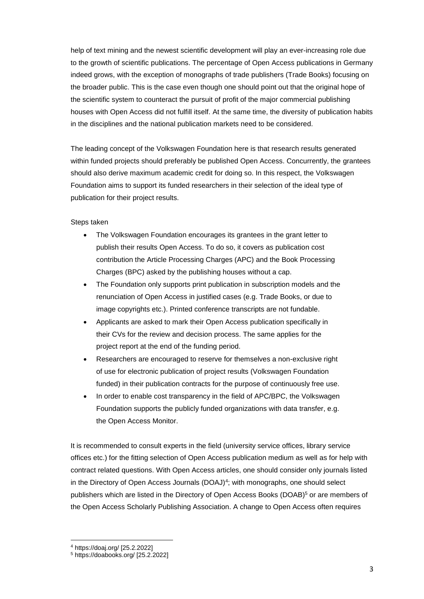help of text mining and the newest scientific development will play an ever-increasing role due to the growth of scientific publications. The percentage of Open Access publications in Germany indeed grows, with the exception of monographs of trade publishers (Trade Books) focusing on the broader public. This is the case even though one should point out that the original hope of the scientific system to counteract the pursuit of profit of the major commercial publishing houses with Open Access did not fulfill itself. At the same time, the diversity of publication habits in the disciplines and the national publication markets need to be considered.

The leading concept of the Volkswagen Foundation here is that research results generated within funded projects should preferably be published Open Access. Concurrently, the grantees should also derive maximum academic credit for doing so. In this respect, the Volkswagen Foundation aims to support its funded researchers in their selection of the ideal type of publication for their project results.

#### Steps taken

- The Volkswagen Foundation encourages its grantees in the grant letter to publish their results Open Access. To do so, it covers as publication cost contribution the Article Processing Charges (APC) and the Book Processing Charges (BPC) asked by the publishing houses without a cap.
- The Foundation only supports print publication in subscription models and the renunciation of Open Access in justified cases (e.g. Trade Books, or due to image copyrights etc.). Printed conference transcripts are not fundable.
- Applicants are asked to mark their Open Access publication specifically in their CVs for the review and decision process. The same applies for the project report at the end of the funding period.
- Researchers are encouraged to reserve for themselves a non-exclusive right of use for electronic publication of project results (Volkswagen Foundation funded) in their publication contracts for the purpose of continuously free use.
- In order to enable cost transparency in the field of APC/BPC, the Volkswagen Foundation supports the publicly funded organizations with data transfer, e.g. the Open Access Monitor.

It is recommended to consult experts in the field (university service offices, library service offices etc.) for the fitting selection of Open Access publication medium as well as for help with contract related questions. With Open Access articles, one should consider only journals listed in the Directory of Open Access Journals (DOAJ)<sup>4</sup>; with monographs, one should select publishers which are listed in the Directory of Open Access Books (DOAB)<sup>5</sup> or are members of the Open Access Scholarly Publishing Association. A change to Open Access often requires

 $\overline{a}$ 

<sup>4</sup> https://doaj.org/ [25.2.2022]

<sup>5</sup> https://doabooks.org/ [25.2.2022]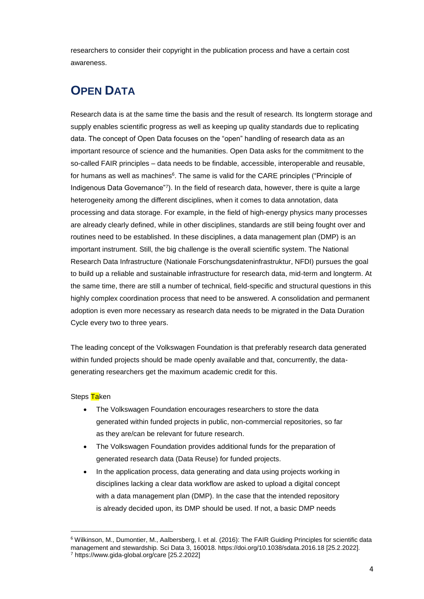researchers to consider their copyright in the publication process and have a certain cost awareness.

## **OPEN DATA**

Research data is at the same time the basis and the result of research. Its longterm storage and supply enables scientific progress as well as keeping up quality standards due to replicating data. The concept of Open Data focuses on the "open" handling of research data as an important resource of science and the humanities. Open Data asks for the commitment to the so-called FAIR principles – data needs to be findable, accessible, interoperable and reusable, for humans as well as machines<sup>6</sup>. The same is valid for the CARE principles ("Principle of Indigenous Data Governance"<sup>7</sup> ). In the field of research data, however, there is quite a large heterogeneity among the different disciplines, when it comes to data annotation, data processing and data storage. For example, in the field of high-energy physics many processes are already clearly defined, while in other disciplines, standards are still being fought over and routines need to be established. In these disciplines, a data management plan (DMP) is an important instrument. Still, the big challenge is the overall scientific system. The National Research Data Infrastructure (Nationale Forschungsdateninfrastruktur, NFDI) pursues the goal to build up a reliable and sustainable infrastructure for research data, mid-term and longterm. At the same time, there are still a number of technical, field-specific and structural questions in this highly complex coordination process that need to be answered. A consolidation and permanent adoption is even more necessary as research data needs to be migrated in the Data Duration Cycle every two to three years.

The leading concept of the Volkswagen Foundation is that preferably research data generated within funded projects should be made openly available and that, concurrently, the datagenerating researchers get the maximum academic credit for this.

#### Steps Taken

 $\overline{a}$ 

- The Volkswagen Foundation encourages researchers to store the data generated within funded projects in public, non-commercial repositories, so far as they are/can be relevant for future research.
- The Volkswagen Foundation provides additional funds for the preparation of generated research data (Data Reuse) for funded projects.
- In the application process, data generating and data using projects working in disciplines lacking a clear data workflow are asked to upload a digital concept with a data management plan (DMP). In the case that the intended repository is already decided upon, its DMP should be used. If not, a basic DMP needs

<sup>6</sup> Wilkinson, M., Dumontier, M., Aalbersberg, I. et al. (2016): The FAIR Guiding Principles for scientific data management and stewardship. Sci Data 3, 160018. https://doi.org/10.1038/sdata.2016.18 [25.2.2022]. <sup>7</sup> https://www.gida-global.org/care [25.2.2022]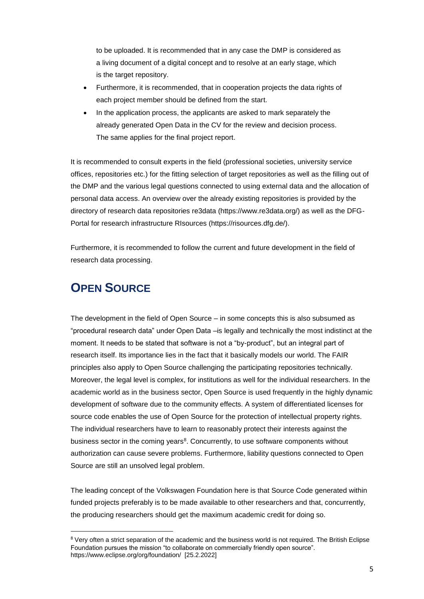to be uploaded. It is recommended that in any case the DMP is considered as a living document of a digital concept and to resolve at an early stage, which is the target repository.

- Furthermore, it is recommended, that in cooperation projects the data rights of each project member should be defined from the start.
- In the application process, the applicants are asked to mark separately the already generated Open Data in the CV for the review and decision process. The same applies for the final project report.

It is recommended to consult experts in the field (professional societies, university service offices, repositories etc.) for the fitting selection of target repositories as well as the filling out of the DMP and the various legal questions connected to using external data and the allocation of personal data access. An overview over the already existing repositories is provided by the directory of research data repositories re3data (https://www.re3data.org/) as well as the DFG-Portal for research infrastructure RIsources (https://risources.dfg.de/).

Furthermore, it is recommended to follow the current and future development in the field of research data processing.

### **OPEN SOURCE**

 $\overline{a}$ 

The development in the field of Open Source – in some concepts this is also subsumed as "procedural research data" under Open Data –is legally and technically the most indistinct at the moment. It needs to be stated that software is not a "by-product", but an integral part of research itself. Its importance lies in the fact that it basically models our world. The FAIR principles also apply to Open Source challenging the participating repositories technically. Moreover, the legal level is complex, for institutions as well for the individual researchers. In the academic world as in the business sector, Open Source is used frequently in the highly dynamic development of software due to the community effects. A system of differentiated licenses for source code enables the use of Open Source for the protection of intellectual property rights. The individual researchers have to learn to reasonably protect their interests against the business sector in the coming years<sup>8</sup>. Concurrently, to use software components without authorization can cause severe problems. Furthermore, liability questions connected to Open Source are still an unsolved legal problem.

The leading concept of the Volkswagen Foundation here is that Source Code generated within funded projects preferably is to be made available to other researchers and that, concurrently, the producing researchers should get the maximum academic credit for doing so.

<sup>&</sup>lt;sup>8</sup> Very often a strict separation of the academic and the business world is not required. The British Eclipse Foundation pursues the mission "to collaborate on commercially friendly open source". https://www.eclipse.org/org/foundation/ [25.2.2022]